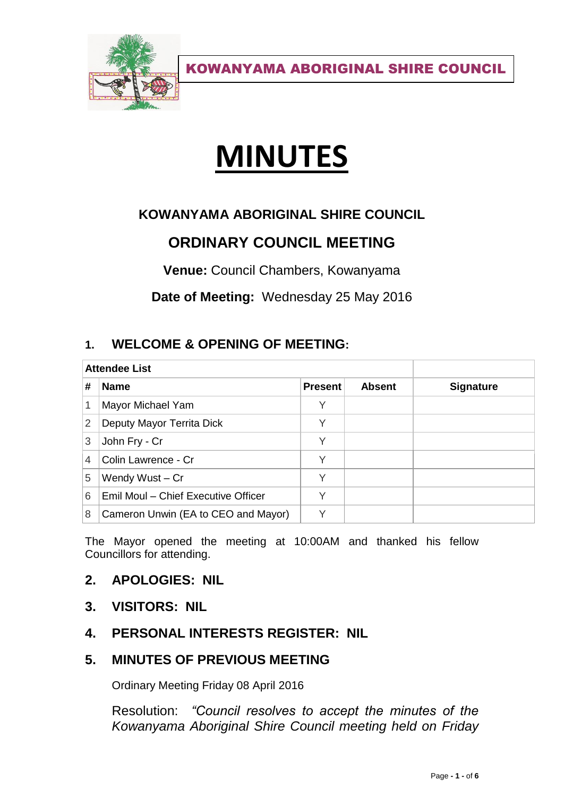

# **MINUTES**

## **KOWANYAMA ABORIGINAL SHIRE COUNCIL**

# **ORDINARY COUNCIL MEETING**

**Venue:** Council Chambers, Kowanyama

**Date of Meeting:** Wednesday 25 May 2016

## **1. WELCOME & OPENING OF MEETING:**

| <b>Attendee List</b> |                                     |                |               |                  |
|----------------------|-------------------------------------|----------------|---------------|------------------|
| #                    | <b>Name</b>                         | <b>Present</b> | <b>Absent</b> | <b>Signature</b> |
|                      | Mayor Michael Yam                   | Y              |               |                  |
| 2                    | Deputy Mayor Territa Dick           | Υ              |               |                  |
| 3                    | John Fry - Cr                       | Υ              |               |                  |
| 4                    | Colin Lawrence - Cr                 | V              |               |                  |
| 5                    | Wendy Wust - Cr                     | Υ              |               |                  |
| 6                    | Emil Moul - Chief Executive Officer |                |               |                  |
| 8                    | Cameron Unwin (EA to CEO and Mayor) |                |               |                  |

The Mayor opened the meeting at 10:00AM and thanked his fellow Councillors for attending.

## **2. APOLOGIES: NIL**

- **3. VISITORS: NIL**
- **4. PERSONAL INTERESTS REGISTER: NIL**

## **5. MINUTES OF PREVIOUS MEETING**

Ordinary Meeting Friday 08 April 2016

Resolution: *"Council resolves to accept the minutes of the Kowanyama Aboriginal Shire Council meeting held on Friday*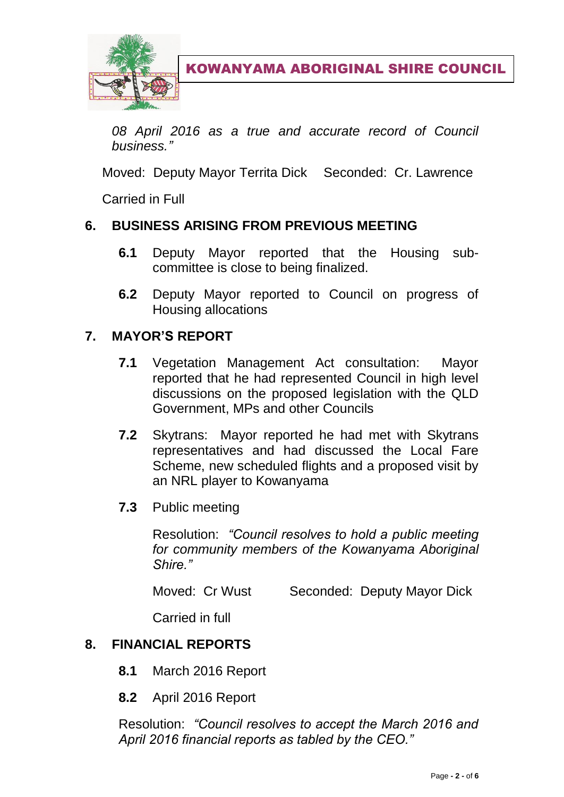

*08 April 2016 as a true and accurate record of Council business."*

Moved: Deputy Mayor Territa Dick Seconded: Cr. Lawrence

Carried in Full

## **6. BUSINESS ARISING FROM PREVIOUS MEETING**

- **6.1** Deputy Mayor reported that the Housing subcommittee is close to being finalized.
- **6.2** Deputy Mayor reported to Council on progress of Housing allocations

## **7. MAYOR'S REPORT**

- **7.1** Vegetation Management Act consultation: Mayor reported that he had represented Council in high level discussions on the proposed legislation with the QLD Government, MPs and other Councils
- **7.2** Skytrans: Mayor reported he had met with Skytrans representatives and had discussed the Local Fare Scheme, new scheduled flights and a proposed visit by an NRL player to Kowanyama
- **7.3** Public meeting

Resolution: *"Council resolves to hold a public meeting for community members of the Kowanyama Aboriginal Shire."*

Moved: Cr Wust Seconded: Deputy Mayor Dick

Carried in full

## **8. FINANCIAL REPORTS**

- **8.1** March 2016 Report
- **8.2** April 2016 Report

Resolution: *"Council resolves to accept the March 2016 and April 2016 financial reports as tabled by the CEO."*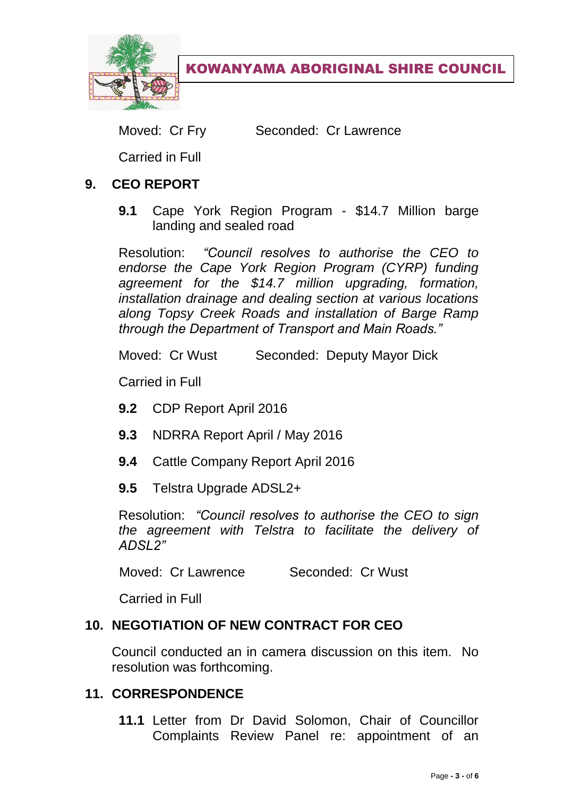

Moved: Cr Fry Seconded: Cr Lawrence

Carried in Full

## **9. CEO REPORT**

**9.1** Cape York Region Program - \$14.7 Million barge landing and sealed road

Resolution: *"Council resolves to authorise the CEO to endorse the Cape York Region Program (CYRP) funding agreement for the \$14.7 million upgrading, formation, installation drainage and dealing section at various locations along Topsy Creek Roads and installation of Barge Ramp through the Department of Transport and Main Roads."*

Moved: Cr Wust Seconded: Deputy Mayor Dick

Carried in Full

- **9.2** CDP Report April 2016
- **9.3** NDRRA Report April / May 2016
- **9.4** Cattle Company Report April 2016
- **9.5** Telstra Upgrade ADSL2+

Resolution: *"Council resolves to authorise the CEO to sign the agreement with Telstra to facilitate the delivery of ADSL2"*

Moved: Cr Lawrence Seconded: Cr Wust

Carried in Full

## **10. NEGOTIATION OF NEW CONTRACT FOR CEO**

Council conducted an in camera discussion on this item. No resolution was forthcoming.

## **11. CORRESPONDENCE**

**11.1** Letter from Dr David Solomon, Chair of Councillor Complaints Review Panel re: appointment of an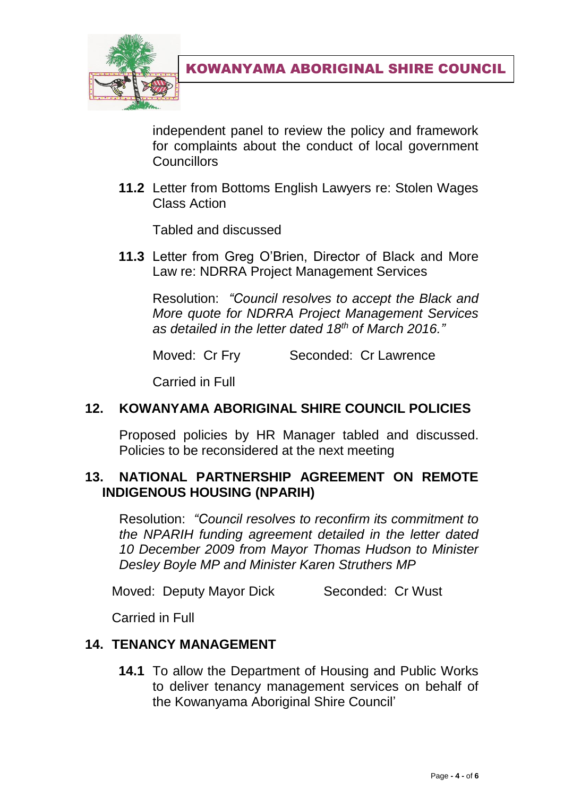

independent panel to review the policy and framework for complaints about the conduct of local government **Councillors** 

**11.2** Letter from Bottoms English Lawyers re: Stolen Wages Class Action

Tabled and discussed

**11.3** Letter from Greg O'Brien, Director of Black and More Law re: NDRRA Project Management Services

Resolution: *"Council resolves to accept the Black and More quote for NDRRA Project Management Services as detailed in the letter dated 18th of March 2016."*

Moved: Cr Fry Seconded: Cr Lawrence

Carried in Full

#### **12. KOWANYAMA ABORIGINAL SHIRE COUNCIL POLICIES**

Proposed policies by HR Manager tabled and discussed. Policies to be reconsidered at the next meeting

## **13. NATIONAL PARTNERSHIP AGREEMENT ON REMOTE INDIGENOUS HOUSING (NPARIH)**

Resolution: *"Council resolves to reconfirm its commitment to the NPARIH funding agreement detailed in the letter dated 10 December 2009 from Mayor Thomas Hudson to Minister Desley Boyle MP and Minister Karen Struthers MP*

Moved: Deputy Mayor Dick Seconded: Cr Wust

Carried in Full

## **14. TENANCY MANAGEMENT**

**14.1** To allow the Department of Housing and Public Works to deliver tenancy management services on behalf of the Kowanyama Aboriginal Shire Council'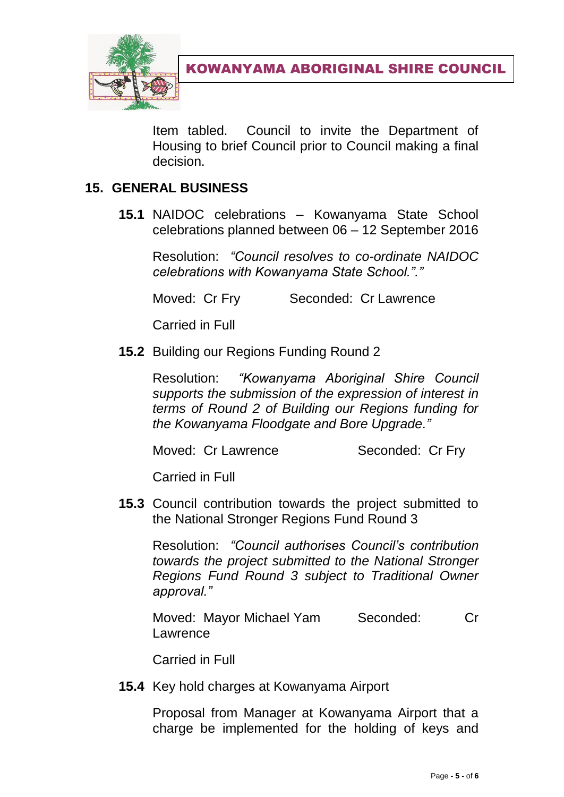

Item tabled. Council to invite the Department of Housing to brief Council prior to Council making a final decision.

## **15. GENERAL BUSINESS**

**15.1** NAIDOC celebrations – Kowanyama State School celebrations planned between 06 – 12 September 2016

Resolution: *"Council resolves to co-ordinate NAIDOC celebrations with Kowanyama State School."."*

Moved: Cr Fry Seconded: Cr Lawrence

Carried in Full

**15.2** Building our Regions Funding Round 2

Resolution: *"Kowanyama Aboriginal Shire Council supports the submission of the expression of interest in terms of Round 2 of Building our Regions funding for the Kowanyama Floodgate and Bore Upgrade."*

Moved: Cr Lawrence Seconded: Cr Fry

Carried in Full

**15.3** Council contribution towards the project submitted to the National Stronger Regions Fund Round 3

Resolution: *"Council authorises Council's contribution towards the project submitted to the National Stronger Regions Fund Round 3 subject to Traditional Owner approval."*

Moved: Mayor Michael Yam Seconded: Cr Lawrence

Carried in Full

**15.4** Key hold charges at Kowanyama Airport

Proposal from Manager at Kowanyama Airport that a charge be implemented for the holding of keys and